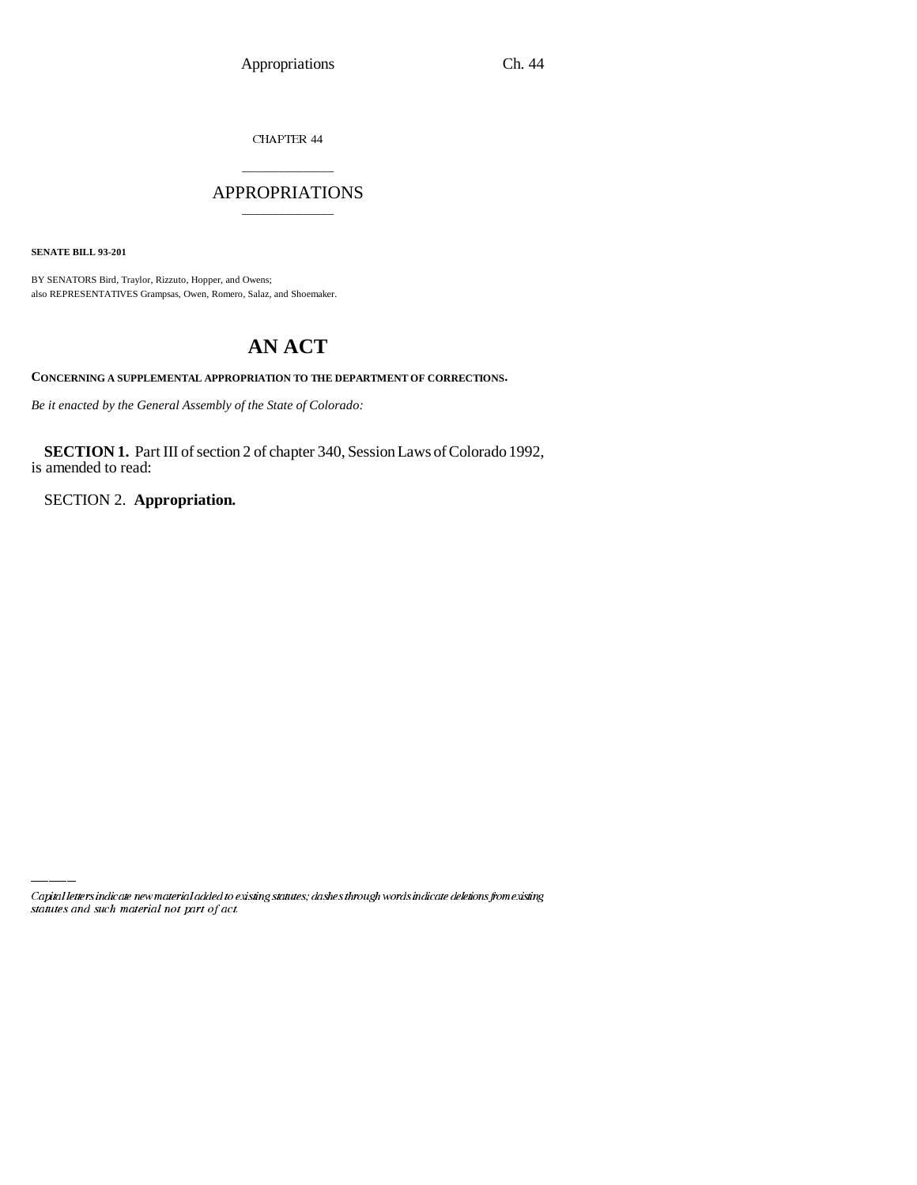CHAPTER 44

# \_\_\_\_\_\_\_\_\_\_\_\_\_\_\_ APPROPRIATIONS \_\_\_\_\_\_\_\_\_\_\_\_\_\_\_

**SENATE BILL 93-201**

BY SENATORS Bird, Traylor, Rizzuto, Hopper, and Owens; also REPRESENTATIVES Grampsas, Owen, Romero, Salaz, and Shoemaker.

# **AN ACT**

**CONCERNING A SUPPLEMENTAL APPROPRIATION TO THE DEPARTMENT OF CORRECTIONS.**

*Be it enacted by the General Assembly of the State of Colorado:*

**SECTION 1.** Part III of section 2 of chapter 340, Session Laws of Colorado 1992, is amended to read:

SECTION 2. **Appropriation.**

Capital letters indicate new material added to existing statutes; dashes through words indicate deletions from existing statutes and such material not part of act.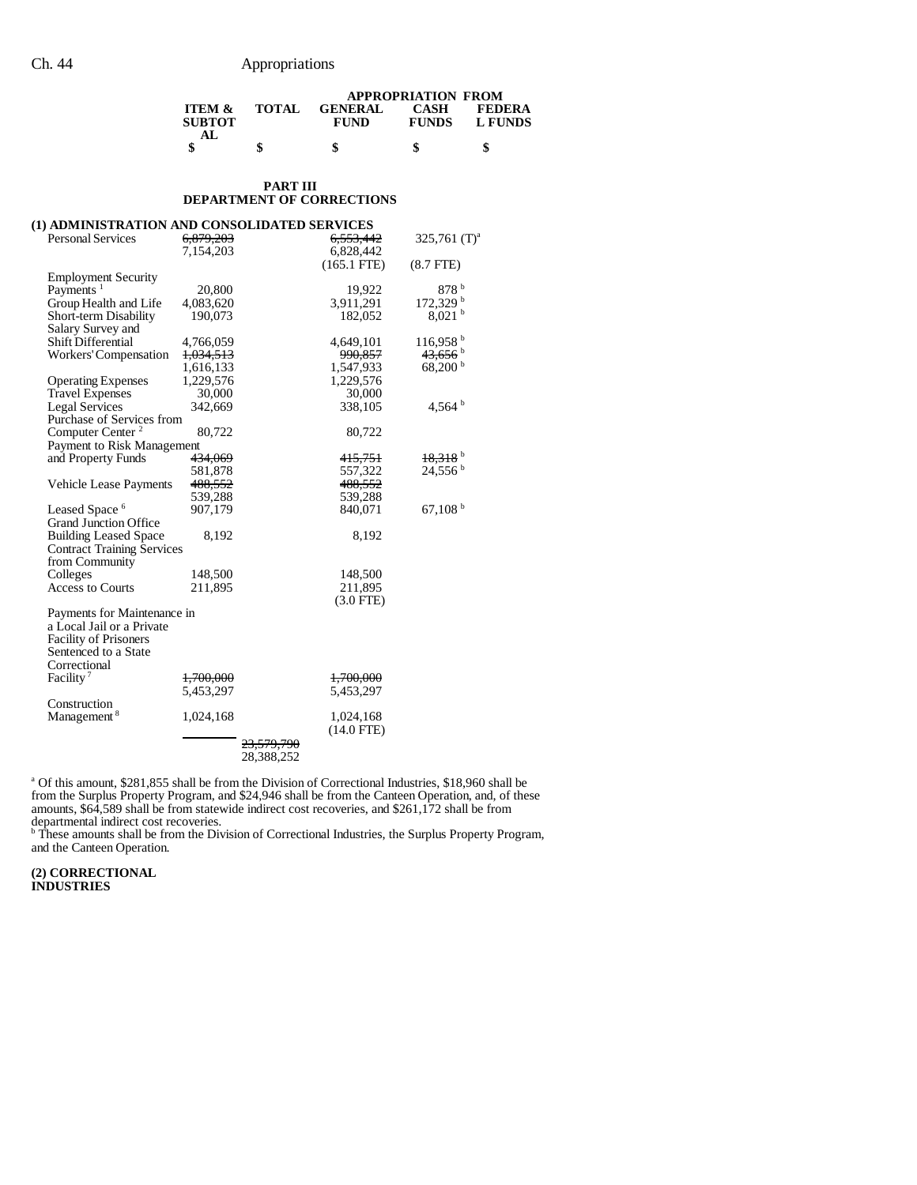|                                    |              |                        | <b>APPROPRIATION FROM</b>   |                          |
|------------------------------------|--------------|------------------------|-----------------------------|--------------------------|
| <b>ITEM &amp;</b><br><b>SUBTOT</b> | <b>TOTAL</b> | <b>GENERAL</b><br>FUND | <b>CASH</b><br><b>FUNDS</b> | <b>FEDERA</b><br>L FUNDS |
| АI                                 |              |                        |                             | S                        |

#### **PART III DEPARTMENT OF CORRECTIONS**

| (1) ADMINISTRATION AND CONSOLIDATED SERVICES |                      |                       |               |                        |
|----------------------------------------------|----------------------|-----------------------|---------------|------------------------|
| Personal Services                            | 6,879,203            |                       | 6,553,442     | 325,761 $(T)^a$        |
|                                              | 7,154,203            |                       | 6,828,442     |                        |
|                                              |                      |                       | $(165.1$ FTE) | $(8.7$ FTE $)$         |
| <b>Employment Security</b>                   |                      |                       |               |                        |
| Payments <sup>1</sup>                        | 20,800               |                       | 19,922        | 878 <sup>b</sup>       |
| Group Health and Life                        | 4,083,620            |                       | 3,911,291     | $172,329$ <sup>b</sup> |
| Short-term Disability                        | 190,073              |                       | 182,052       | $8,021$ b              |
| Salary Survey and                            |                      |                       |               |                        |
| Shift Differential                           | 4,766,059            |                       | 4,649,101     | 116,958 <sup>b</sup>   |
| Workers' Compensation                        | <del>1,034,513</del> |                       | 990,857       | $43,656$ <sup>b</sup>  |
|                                              | 1,616,133            |                       | 1,547,933     | $68,200^{\mathrm{b}}$  |
| <b>Operating Expenses</b>                    | 1,229,576            |                       | 1,229,576     |                        |
| <b>Travel Expenses</b>                       | 30,000               |                       | 30,000        |                        |
| <b>Legal Services</b>                        | 342,669              |                       | 338,105       | 4,564 $b$              |
| Purchase of Services from                    |                      |                       |               |                        |
| Computer Center <sup>2</sup>                 | 80,722               |                       | 80,722        |                        |
| Payment to Risk Management                   |                      |                       |               |                        |
| and Property Funds                           | <del>434,069</del>   |                       | 415,751       | $18,318$ <sup>b</sup>  |
|                                              | 581,878              |                       | 557,322       | $24,556^{\mathrm{b}}$  |
| <b>Vehicle Lease Payments</b>                | 488,552              |                       | 488,552       |                        |
|                                              | 539,288              |                       | 539,288       |                        |
| Leased Space <sup>6</sup>                    | 907,179              |                       | 840.071       | 67,108 $^{\rm b}$      |
| <b>Grand Junction Office</b>                 |                      |                       |               |                        |
| <b>Building Leased Space</b>                 | 8,192                |                       | 8,192         |                        |
| <b>Contract Training Services</b>            |                      |                       |               |                        |
| from Community                               |                      |                       |               |                        |
| Colleges                                     | 148,500              |                       | 148,500       |                        |
| <b>Access to Courts</b>                      | 211,895              |                       | 211,895       |                        |
|                                              |                      |                       | $(3.0$ FTE)   |                        |
| Payments for Maintenance in                  |                      |                       |               |                        |
| a Local Jail or a Private                    |                      |                       |               |                        |
| <b>Facility of Prisoners</b>                 |                      |                       |               |                        |
| Sentenced to a State                         |                      |                       |               |                        |
| Correctional                                 |                      |                       |               |                        |
| Facility <sup>7</sup>                        | 1,700,000            |                       | 1,700,000     |                        |
|                                              | 5,453,297            |                       | 5,453,297     |                        |
| Construction                                 |                      |                       |               |                        |
| Management <sup>8</sup>                      | 1,024,168            |                       | 1,024,168     |                        |
|                                              |                      |                       | $(14.0$ FTE)  |                        |
|                                              |                      | <del>23,579,790</del> |               |                        |
|                                              |                      | 28.388.252            |               |                        |

<sup>a</sup> Of this amount, \$281,855 shall be from the Division of Correctional Industries, \$18,960 shall be from the Surplus Property Program, and \$24,946 shall be from the Canteen Operation, and, of these amounts, \$64,589 shall be from statewide indirect cost recoveries, and \$261,172 shall be from

departmental indirect cost recoveries. b These amounts shall be from the Division of Correctional Industries, the Surplus Property Program, and the Canteen Operation.

**(2) CORRECTIONAL INDUSTRIES**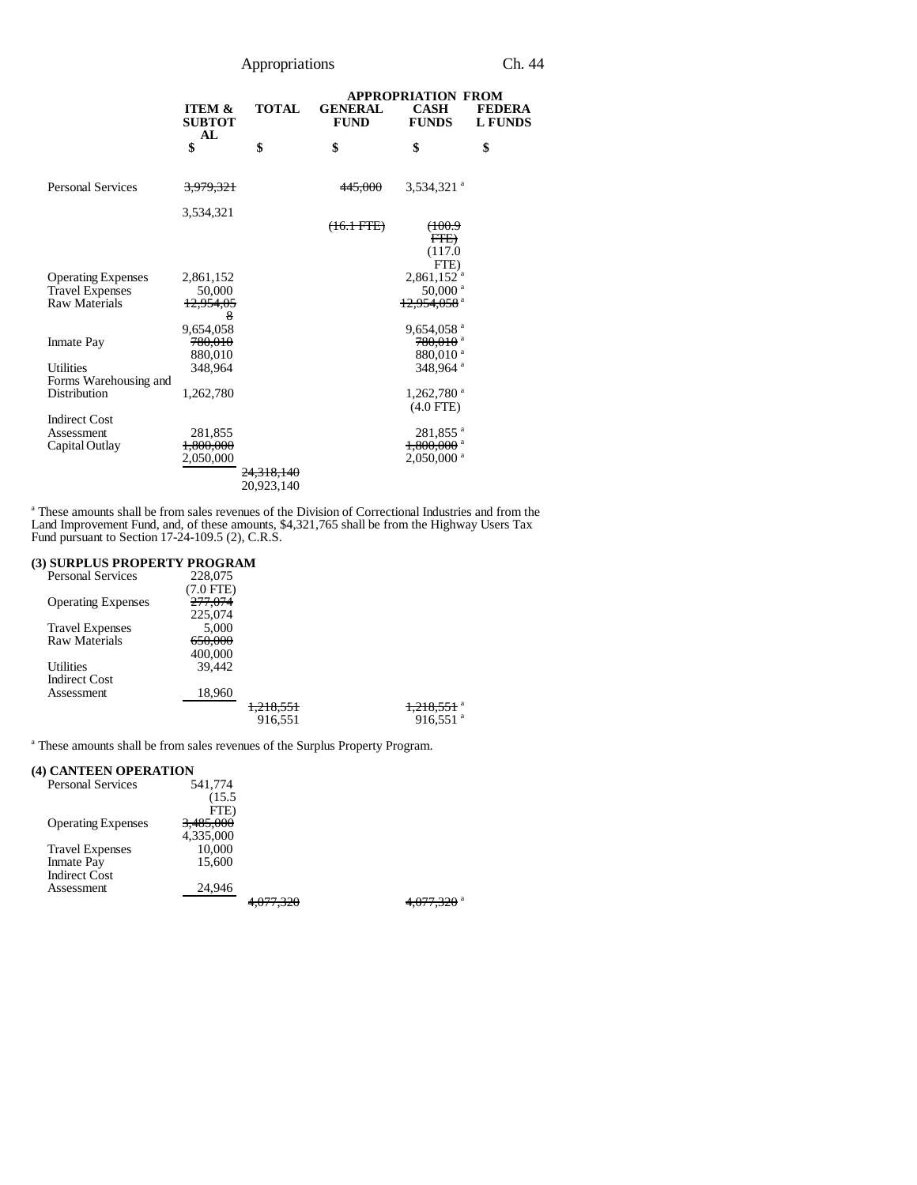# Appropriations Ch. 44

|                                           |                                          |                       | <b>APPROPRIATION FROM</b>     |                                         |                                 |
|-------------------------------------------|------------------------------------------|-----------------------|-------------------------------|-----------------------------------------|---------------------------------|
|                                           | <b>ITEM &amp;</b><br><b>SUBTOT</b><br>AL | <b>TOTAL</b>          | <b>GENERAL</b><br><b>FUND</b> | <b>CASH</b><br><b>FUNDS</b>             | <b>FEDERA</b><br><b>L FUNDS</b> |
|                                           | \$                                       | \$                    | \$                            | \$                                      | \$                              |
| <b>Personal Services</b>                  | 3,979,321                                |                       | 445.000                       | $3,534,321$ <sup>a</sup>                |                                 |
|                                           | 3,534,321                                |                       | <del>(16.1 FTE)</del>         | <del>(100.9</del>                       |                                 |
|                                           |                                          |                       |                               | FFE<br>(117.0                           |                                 |
| <b>Operating Expenses</b>                 | 2,861,152                                |                       |                               | FTE)<br>$2,861,152$ <sup>a</sup>        |                                 |
| <b>Travel Expenses</b>                    | 50,000                                   |                       |                               | 50,000 $^{\circ}$                       |                                 |
| <b>Raw Materials</b>                      | 12,954,05<br>8                           |                       |                               | 12.954.058 <sup>a</sup>                 |                                 |
|                                           | 9,654,058                                |                       |                               | $9,654,058$ <sup>a</sup>                |                                 |
| <b>Inmate Pay</b>                         | 780,010                                  |                       |                               | $780,010$ <sup>a</sup>                  |                                 |
|                                           | 880,010                                  |                       |                               | 880,010 <sup>a</sup>                    |                                 |
| <b>Utilities</b><br>Forms Warehousing and | 348,964                                  |                       |                               | 348,964 <sup>a</sup>                    |                                 |
| Distribution                              | 1,262,780                                |                       |                               | $1,262,780$ <sup>a</sup><br>$(4.0$ FTE) |                                 |
| <b>Indirect Cost</b>                      |                                          |                       |                               |                                         |                                 |
| Assessment                                | 281,855                                  |                       |                               | 281,855 <sup>a</sup>                    |                                 |
| Capital Outlay                            | 1,800,000                                |                       |                               | $1,800,000$ <sup>a</sup>                |                                 |
|                                           | 2,050,000                                |                       |                               | $2,050,000$ <sup>a</sup>                |                                 |
|                                           |                                          | <del>24.318.140</del> |                               |                                         |                                 |
|                                           |                                          | 20,923,140            |                               |                                         |                                 |

<sup>a</sup> These amounts shall be from sales revenues of the Division of Correctional Industries and from the Land Improvement Fund, and, of these amounts, \$4,321,765 shall be from the Highway Users Tax Fund pursuant to Section 17-24-109.5 (2), C.R.S.

#### **(3) SURPLUS PROPERTY PROGRAM**

| <b>Personal Services</b>  | 228,075   |                      |                          |
|---------------------------|-----------|----------------------|--------------------------|
|                           | (7.0 FTE) |                      |                          |
| <b>Operating Expenses</b> | 277,074   |                      |                          |
|                           | 225,074   |                      |                          |
| <b>Travel Expenses</b>    | 5.000     |                      |                          |
| Raw Materials             | 650,000   |                      |                          |
|                           | 400,000   |                      |                          |
| Utilities                 | 39.442    |                      |                          |
| <b>Indirect Cost</b>      |           |                      |                          |
| Assessment                | 18,960    |                      |                          |
|                           |           | <del>1,218,551</del> | $1,218,551$ <sup>a</sup> |
|                           |           | 916,551              | $916,551$ <sup>a</sup>   |

<sup>a</sup> These amounts shall be from sales revenues of the Surplus Property Program.

## **(4) CANTEEN OPERATION**

| <b>Personal Services</b>  | 541,774   |           |                    |
|---------------------------|-----------|-----------|--------------------|
|                           | (15.5)    |           |                    |
|                           | FTE)      |           |                    |
| <b>Operating Expenses</b> | 3,485,000 |           |                    |
|                           | 4,335,000 |           |                    |
| <b>Travel Expenses</b>    | 10,000    |           |                    |
| <b>Inmate Pay</b>         | 15,600    |           |                    |
| <b>Indirect Cost</b>      |           |           |                    |
| Assessment                | 24,946    |           |                    |
|                           |           | 4,077,JZ0 | 4.V <i>I</i> 7.JZU |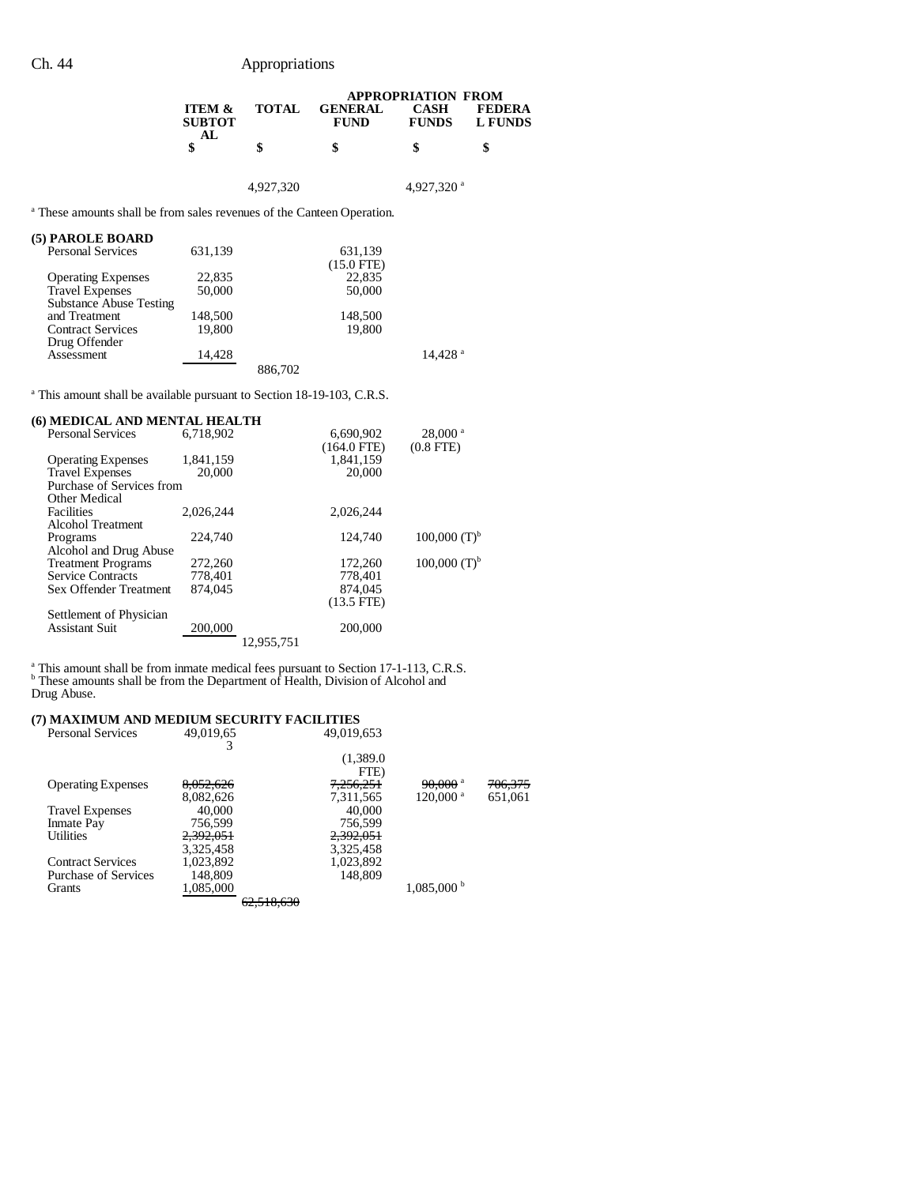## Ch. 44 Appropriations

|                                    |              | <b>APPROPRIATION FROM</b> |                             |                          |  |  |
|------------------------------------|--------------|---------------------------|-----------------------------|--------------------------|--|--|
| <b>ITEM &amp;</b><br><b>SUBTOT</b> | <b>TOTAL</b> | <b>GENERAL</b><br>FUND    | <b>CASH</b><br><b>FUNDS</b> | <b>FEDERA</b><br>L FUNDS |  |  |
| AL.                                |              |                           | \$                          |                          |  |  |

4,927,320 4,927,320 <sup>a</sup>

<sup>a</sup> These amounts shall be from sales revenues of the Canteen Operation.

# **(5) PAROLE BOARD**

| <b>Personal Services</b>       | 631,139 |         | 631,139             |
|--------------------------------|---------|---------|---------------------|
|                                |         |         | $(15.0$ FTE)        |
| <b>Operating Expenses</b>      | 22,835  |         | 22,835              |
| <b>Travel Expenses</b>         | 50,000  |         | 50,000              |
| <b>Substance Abuse Testing</b> |         |         |                     |
| and Treatment                  | 148,500 |         | 148,500             |
| <b>Contract Services</b>       | 19.800  |         | 19.800              |
| Drug Offender                  |         |         |                     |
| Assessment                     | 14.428  |         | 14.428 <sup>a</sup> |
|                                |         | 886,702 |                     |
|                                |         |         |                     |

<sup>a</sup> This amount shall be available pursuant to Section 18-19-103, C.R.S.

| (6) MEDICAL AND MENTAL HEALTH |           |                            |                                         |
|-------------------------------|-----------|----------------------------|-----------------------------------------|
| <b>Personal Services</b>      | 6.718.902 | 6,690,902<br>$(164.0$ FTE) | $28,000$ <sup>a</sup><br>$(0.8$ FTE $)$ |
| <b>Operating Expenses</b>     | 1,841,159 | 1.841.159                  |                                         |
| <b>Travel Expenses</b>        | 20,000    | 20,000                     |                                         |
| Purchase of Services from     |           |                            |                                         |
| Other Medical                 |           |                            |                                         |
| <b>Facilities</b>             | 2,026,244 | 2,026,244                  |                                         |
| Alcohol Treatment             |           |                            |                                         |
| Programs                      | 224,740   | 124,740                    | $100,000$ $(T)^{b}$                     |
| Alcohol and Drug Abuse        |           |                            |                                         |
| <b>Treatment Programs</b>     | 272,260   | 172,260                    | $100,000$ $(T)^{b}$                     |
| <b>Service Contracts</b>      | 778.401   | 778.401                    |                                         |
| Sex Offender Treatment        | 874,045   | 874.045                    |                                         |
|                               |           | $(13.5$ FTE $)$            |                                         |
| Settlement of Physician       |           |                            |                                         |
| <b>Assistant Suit</b>         | 200,000   | 200,000                    |                                         |
|                               |           | 12.955.751                 |                                         |

<sup>a</sup> This amount shall be from inmate medical fees pursuant to Section 17-1-113, C.R.S. b These amounts shall be from the Department of Health, Division of Alcohol and Drug Abuse.

#### **(7) MAXIMUM AND MEDIUM SECURITY FACILITIES**

| <b>Personal Services</b>    | 49,019,65 |                       | 49,019,653 |                        |                    |
|-----------------------------|-----------|-----------------------|------------|------------------------|--------------------|
|                             |           |                       |            |                        |                    |
|                             |           |                       | (1,389.0)  |                        |                    |
|                             |           |                       | FTE)       |                        |                    |
| <b>Operating Expenses</b>   | 8,052,626 |                       | 7,256,251  | $90,000$ <sup>a</sup>  | <del>706,375</del> |
|                             | 8.082.626 |                       | 7.311.565  | $120,000$ <sup>a</sup> | 651.061            |
| <b>Travel Expenses</b>      | 40,000    |                       | 40,000     |                        |                    |
| Inmate Pay                  | 756,599   |                       | 756,599    |                        |                    |
| Utilities                   | 2,392,051 |                       | 2,392,051  |                        |                    |
|                             | 3,325,458 |                       | 3,325,458  |                        |                    |
| <b>Contract Services</b>    | 1,023,892 |                       | 1,023,892  |                        |                    |
| <b>Purchase of Services</b> | 148,809   |                       | 148,809    |                        |                    |
| <b>Grants</b>               | 1,085,000 |                       |            | $1,085,000$ b          |                    |
|                             |           | <del>62.518.630</del> |            |                        |                    |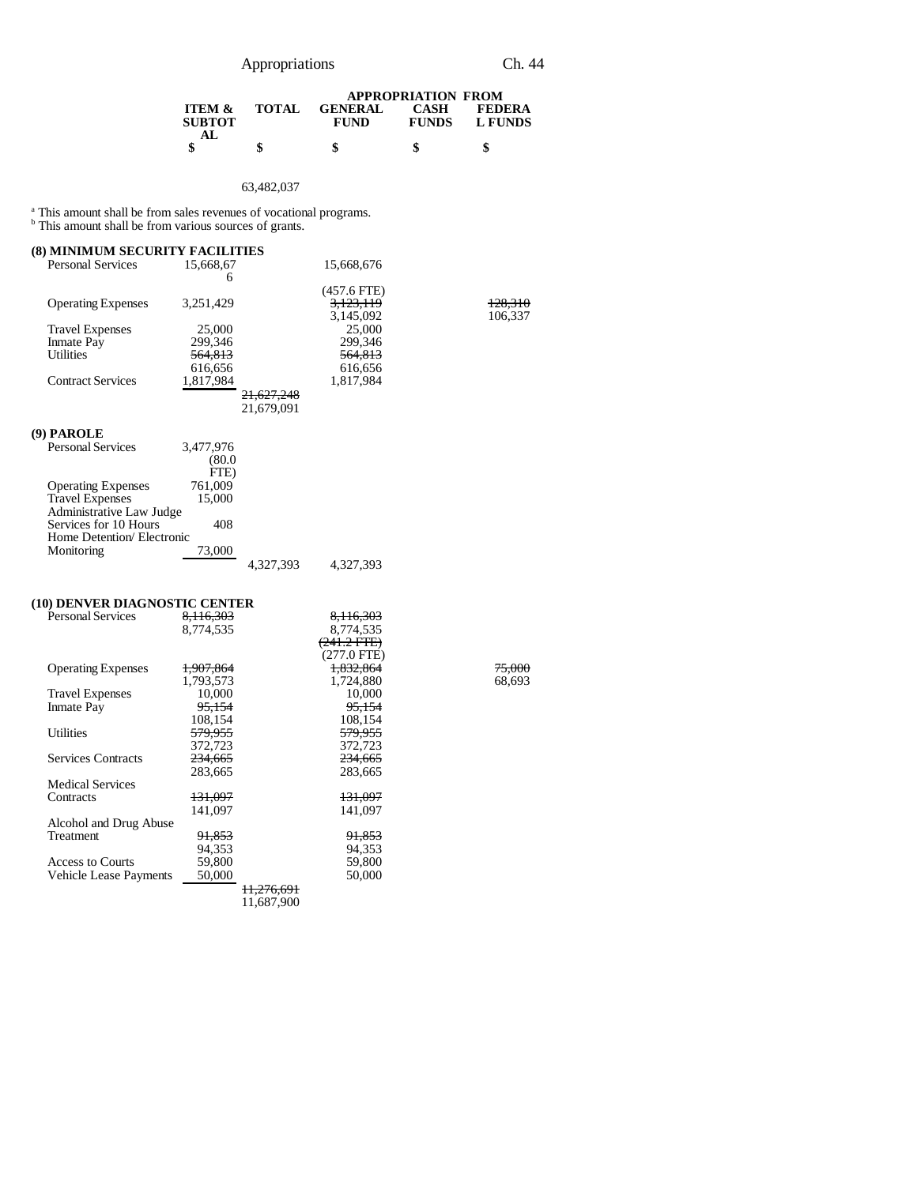# Appropriations Ch. 44

| <b>TOTAL</b> | <b>GENERAL</b> | <b>CASH</b>  | <b>FEDERA</b>             |
|--------------|----------------|--------------|---------------------------|
|              | <b>FUND</b>    | <b>FUNDS</b> | L FUNDS                   |
|              |                |              |                           |
|              | S              | \$           | \$                        |
|              |                |              | <b>APPROPRIATION FROM</b> |

#### 63,482,037

<sup>a</sup> This amount shall be from sales revenues of vocational programs.<br><sup>b</sup> This amount shall be from various sources of grants.

| <b>(8) MINIMUM SECURITY FACILITIES</b> |                    |                       |                                         |                    |
|----------------------------------------|--------------------|-----------------------|-----------------------------------------|--------------------|
| <b>Personal Services</b>               | 15,668,67          |                       | 15,668,676                              |                    |
|                                        | 6                  |                       |                                         |                    |
| <b>Operating Expenses</b>              | 3,251,429          |                       | $(457.6$ FTE)<br>3,123,119<br>3,145,092 | 128.310<br>106,337 |
| <b>Travel Expenses</b>                 | 25,000             |                       | 25,000                                  |                    |
| Inmate Pay                             | 299,346            |                       | 299,346                                 |                    |
| <b>Utilities</b>                       | 564,813            |                       | <del>564,813</del>                      |                    |
|                                        | 616,656            |                       | 616,656                                 |                    |
| <b>Contract Services</b>               | 1,817,984          |                       | 1,817,984                               |                    |
|                                        |                    | <del>21,627,248</del> |                                         |                    |
|                                        |                    | 21,679,091            |                                         |                    |
| (9) PAROLE                             |                    |                       |                                         |                    |
| <b>Personal Services</b>               | 3,477,976          |                       |                                         |                    |
|                                        | (80.0)             |                       |                                         |                    |
|                                        | FTE)               |                       |                                         |                    |
| <b>Operating Expenses</b>              | 761,009            |                       |                                         |                    |
| <b>Travel Expenses</b>                 | 15,000             |                       |                                         |                    |
| Administrative Law Judge               |                    |                       |                                         |                    |
| Services for 10 Hours                  | 408                |                       |                                         |                    |
| Home Detention/Electronic              |                    |                       |                                         |                    |
| Monitoring                             | 73,000             |                       |                                         |                    |
|                                        |                    | 4,327,393             | 4,327,393                               |                    |
|                                        |                    |                       |                                         |                    |
| (10) DENVER DIAGNOSTIC CENTER          |                    |                       |                                         |                    |
| <b>Personal Services</b>               | 8,116,303          |                       | 8,116,303                               |                    |
|                                        | 8,774,535          |                       | 8,774,535                               |                    |
|                                        |                    |                       | $(241.2$ FTE $)$                        |                    |
|                                        |                    |                       | $(277.0$ FTE)                           |                    |
| <b>Operating Expenses</b>              | 1,907,864          |                       | 1,832,864                               | 75,000             |
|                                        | 1,793,573          |                       | 1,724,880                               | 68,693             |
| <b>Travel Expenses</b>                 | 10,000             |                       | 10,000                                  |                    |
| <b>Inmate Pay</b>                      | 95,154             |                       | 95,154                                  |                    |
|                                        | 108,154            |                       | 108,154                                 |                    |
| <b>Utilities</b>                       | 579,955            |                       | <del>579,955</del>                      |                    |
|                                        | 372,723            |                       | 372,723                                 |                    |
| <b>Services Contracts</b>              | 234,665            |                       | 234,665                                 |                    |
|                                        | 283,665            |                       | 283,665                                 |                    |
| <b>Medical Services</b>                |                    |                       |                                         |                    |
| Contracts                              | <del>131,097</del> |                       | <del>131,097</del>                      |                    |
|                                        | 141,097            |                       | 141,097                                 |                    |
| Alcohol and Drug Abuse                 |                    |                       |                                         |                    |
| Treatment                              | <del>91,853</del>  |                       | <del>91,853</del>                       |                    |
|                                        | 94,353             |                       | 94,353                                  |                    |
| <b>Access to Courts</b>                | 59,800             |                       | 59,800                                  |                    |

Vehicle Lease Payments 50,000 50,000

11,276,691 11,687,900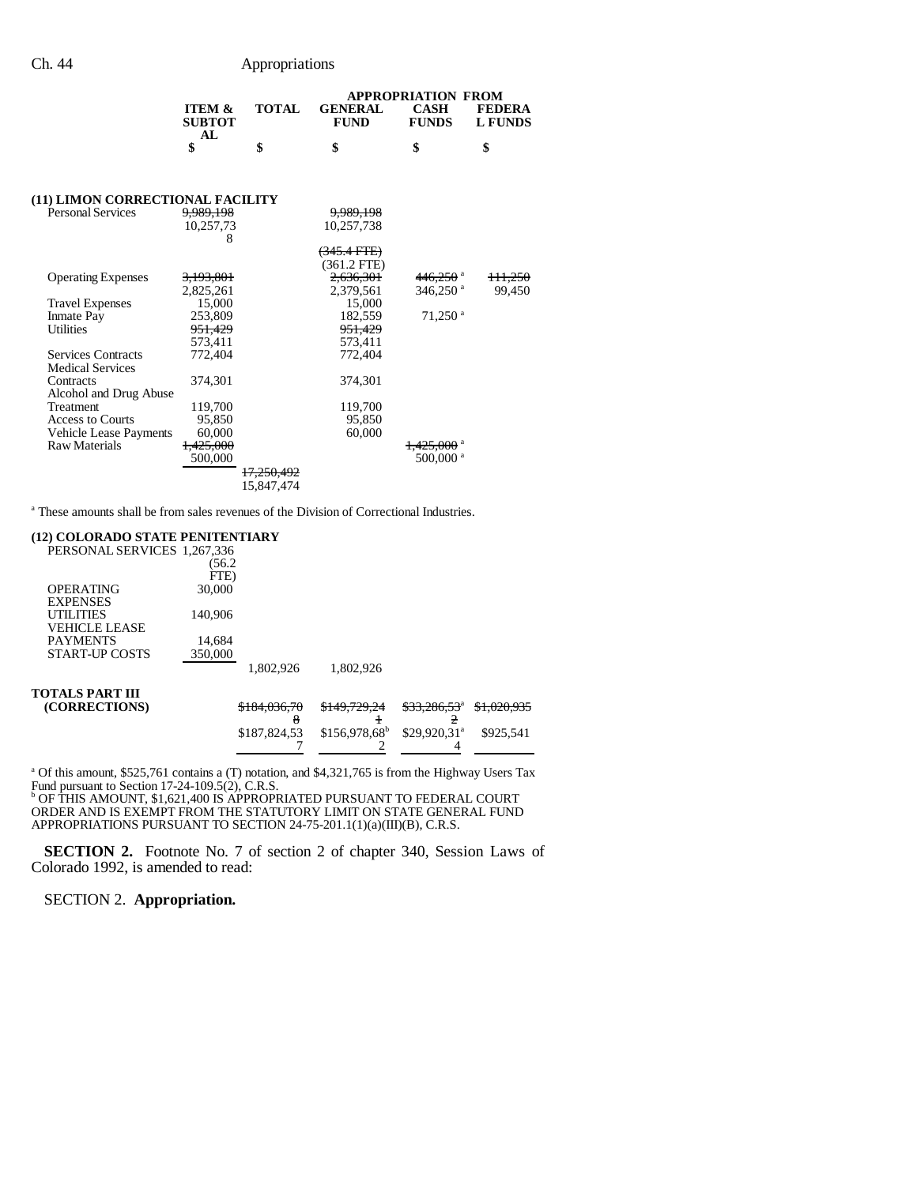|                                                         |              | <b>APPROPRIATION FROM</b>     |                             |                          |  |
|---------------------------------------------------------|--------------|-------------------------------|-----------------------------|--------------------------|--|
| <b>ITEM <math>\&amp;</math></b><br><b>SUBTOT</b><br>AL. | <b>TOTAL</b> | <b>GENERAL</b><br><b>FUND</b> | <b>CASH</b><br><b>FUNDS</b> | <b>FEDERA</b><br>L FUNDS |  |
|                                                         |              | \$                            |                             |                          |  |

## **(11) LIMON CORRECTIONAL FACILITY**

| 10,257,73 |                                                                                                                                                                        | 10,257,738 |                                                                                                                                                                                          |                                                                                                                                        |
|-----------|------------------------------------------------------------------------------------------------------------------------------------------------------------------------|------------|------------------------------------------------------------------------------------------------------------------------------------------------------------------------------------------|----------------------------------------------------------------------------------------------------------------------------------------|
| 8         |                                                                                                                                                                        |            |                                                                                                                                                                                          |                                                                                                                                        |
|           |                                                                                                                                                                        |            |                                                                                                                                                                                          |                                                                                                                                        |
|           |                                                                                                                                                                        |            |                                                                                                                                                                                          |                                                                                                                                        |
|           |                                                                                                                                                                        |            |                                                                                                                                                                                          | <del>111.250</del>                                                                                                                     |
|           |                                                                                                                                                                        |            |                                                                                                                                                                                          | 99,450                                                                                                                                 |
|           |                                                                                                                                                                        |            |                                                                                                                                                                                          |                                                                                                                                        |
|           |                                                                                                                                                                        |            |                                                                                                                                                                                          |                                                                                                                                        |
|           |                                                                                                                                                                        |            |                                                                                                                                                                                          |                                                                                                                                        |
|           |                                                                                                                                                                        |            |                                                                                                                                                                                          |                                                                                                                                        |
|           |                                                                                                                                                                        |            |                                                                                                                                                                                          |                                                                                                                                        |
|           |                                                                                                                                                                        |            |                                                                                                                                                                                          |                                                                                                                                        |
|           |                                                                                                                                                                        |            |                                                                                                                                                                                          |                                                                                                                                        |
| 374.301   |                                                                                                                                                                        |            |                                                                                                                                                                                          |                                                                                                                                        |
|           |                                                                                                                                                                        |            |                                                                                                                                                                                          |                                                                                                                                        |
|           |                                                                                                                                                                        |            |                                                                                                                                                                                          |                                                                                                                                        |
|           |                                                                                                                                                                        |            |                                                                                                                                                                                          |                                                                                                                                        |
|           |                                                                                                                                                                        |            |                                                                                                                                                                                          |                                                                                                                                        |
|           |                                                                                                                                                                        |            |                                                                                                                                                                                          |                                                                                                                                        |
|           |                                                                                                                                                                        |            |                                                                                                                                                                                          |                                                                                                                                        |
|           |                                                                                                                                                                        |            |                                                                                                                                                                                          |                                                                                                                                        |
|           | <del>17,250,492</del>                                                                                                                                                  |            |                                                                                                                                                                                          |                                                                                                                                        |
|           | 15.847.474                                                                                                                                                             |            |                                                                                                                                                                                          |                                                                                                                                        |
|           | 9,989,198<br><del>3.193.801</del><br>2,825,261<br>15.000<br>253,809<br>951,429<br>573.411<br>772,404<br>119,700<br>95.850<br>60.000<br><del>1,425,000</del><br>500,000 |            | 9,989,198<br><del>345.4 FTE)</del><br>$(361.2$ FTE)<br>2.636.301<br>2,379,561<br>15,000<br>182.559<br><del>951,429</del><br>573.411<br>772,404<br>374,301<br>119,700<br>95,850<br>60,000 | 446,250 <sup>a</sup><br>$346,250$ <sup>a</sup><br>$71,250$ <sup>a</sup><br><del>1,425,000</del> <sup>a</sup><br>$500,000$ <sup>a</sup> |

<sup>a</sup> These amounts shall be from sales revenues of the Division of Correctional Industries.

#### **(12) COLORADO STATE PENITENTIARY**

| PERSONAL SERVICES 1,267,336 |         |                         |                         |                          |                        |
|-----------------------------|---------|-------------------------|-------------------------|--------------------------|------------------------|
|                             | (56.2   |                         |                         |                          |                        |
|                             | FTE)    |                         |                         |                          |                        |
| <b>OPERATING</b>            | 30,000  |                         |                         |                          |                        |
| <b>EXPENSES</b>             |         |                         |                         |                          |                        |
| <b>UTILITIES</b>            | 140,906 |                         |                         |                          |                        |
| VEHICLE LEASE               |         |                         |                         |                          |                        |
| <b>PAYMENTS</b>             | 14.684  |                         |                         |                          |                        |
| START-UP COSTS              | 350,000 |                         |                         |                          |                        |
|                             |         | 1.802.926               | 1,802,926               |                          |                        |
| TOTALS PART III             |         |                         |                         |                          |                        |
| (CORRECTIONS)               |         | <del>\$184,036,70</del> | <del>\$149,729,24</del> | \$33,286,53 <sup>a</sup> | <del>\$1,020,935</del> |
|                             |         |                         |                         |                          |                        |
|                             |         | \$187,824,53            | $$156,978,68^b$         | $$29,920,31^a$           | \$925.541              |
|                             |         |                         |                         |                          |                        |

<sup>a</sup> Of this amount, \$525,761 contains a (T) notation, and \$4,321,765 is from the Highway Users Tax Fund pursuant to Section 17-24-109.5(2), C.R.S. b OF THIS AMOUNT, \$1,621,400 IS APPROPRIATED PURSUANT TO FEDERAL COURT

ORDER AND IS EXEMPT FROM THE STATUTORY LIMIT ON STATE GENERAL FUND APPROPRIATIONS PURSUANT TO SECTION 24-75-201.1(1)(a)(III)(B), C.R.S.

**SECTION 2.** Footnote No. 7 of section 2 of chapter 340, Session Laws of Colorado 1992, is amended to read:

SECTION 2. **Appropriation.**